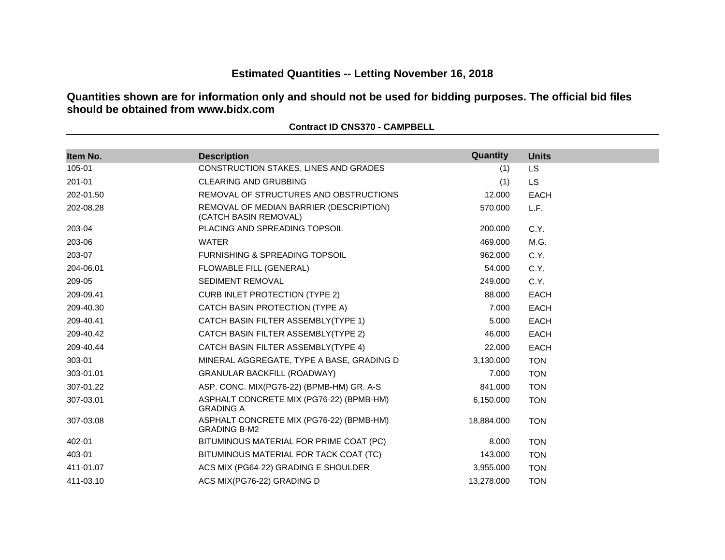# **Estimated Quantities -- Letting November 16, 2018**

**Quantities shown are for information only and should not be used for bidding purposes. The official bid files should be obtained from www.bidx.com**

| Item No.  | <b>Description</b>                                               | Quantity   | <b>Units</b> |
|-----------|------------------------------------------------------------------|------------|--------------|
| 105-01    | CONSTRUCTION STAKES, LINES AND GRADES                            | (1)        | <b>LS</b>    |
| 201-01    | <b>CLEARING AND GRUBBING</b>                                     | (1)        | <b>LS</b>    |
| 202-01.50 | REMOVAL OF STRUCTURES AND OBSTRUCTIONS                           | 12.000     | <b>EACH</b>  |
| 202-08.28 | REMOVAL OF MEDIAN BARRIER (DESCRIPTION)<br>(CATCH BASIN REMOVAL) | 570.000    | L.F.         |
| 203-04    | PLACING AND SPREADING TOPSOIL                                    | 200.000    | C.Y.         |
| 203-06    | <b>WATER</b>                                                     | 469.000    | M.G.         |
| 203-07    | <b>FURNISHING &amp; SPREADING TOPSOIL</b>                        | 962.000    | C.Y.         |
| 204-06.01 | FLOWABLE FILL (GENERAL)                                          | 54.000     | C.Y.         |
| 209-05    | <b>SEDIMENT REMOVAL</b>                                          | 249.000    | C.Y.         |
| 209-09.41 | <b>CURB INLET PROTECTION (TYPE 2)</b>                            | 88.000     | <b>EACH</b>  |
| 209-40.30 | CATCH BASIN PROTECTION (TYPE A)                                  | 7.000      | <b>EACH</b>  |
| 209-40.41 | CATCH BASIN FILTER ASSEMBLY(TYPE 1)                              | 5.000      | <b>EACH</b>  |
| 209-40.42 | CATCH BASIN FILTER ASSEMBLY(TYPE 2)                              | 46.000     | <b>EACH</b>  |
| 209-40.44 | CATCH BASIN FILTER ASSEMBLY(TYPE 4)                              | 22.000     | <b>EACH</b>  |
| 303-01    | MINERAL AGGREGATE, TYPE A BASE, GRADING D                        | 3,130.000  | <b>TON</b>   |
| 303-01.01 | <b>GRANULAR BACKFILL (ROADWAY)</b>                               | 7.000      | <b>TON</b>   |
| 307-01.22 | ASP. CONC. MIX(PG76-22) (BPMB-HM) GR. A-S                        | 841.000    | <b>TON</b>   |
| 307-03.01 | ASPHALT CONCRETE MIX (PG76-22) (BPMB-HM)<br><b>GRADING A</b>     | 6,150.000  | <b>TON</b>   |
| 307-03.08 | ASPHALT CONCRETE MIX (PG76-22) (BPMB-HM)<br><b>GRADING B-M2</b>  | 18,884.000 | <b>TON</b>   |
| 402-01    | BITUMINOUS MATERIAL FOR PRIME COAT (PC)                          | 8.000      | <b>TON</b>   |
| 403-01    | BITUMINOUS MATERIAL FOR TACK COAT (TC)                           | 143.000    | <b>TON</b>   |
| 411-01.07 | ACS MIX (PG64-22) GRADING E SHOULDER                             | 3,955.000  | <b>TON</b>   |
| 411-03.10 | ACS MIX(PG76-22) GRADING D                                       | 13,278.000 | <b>TON</b>   |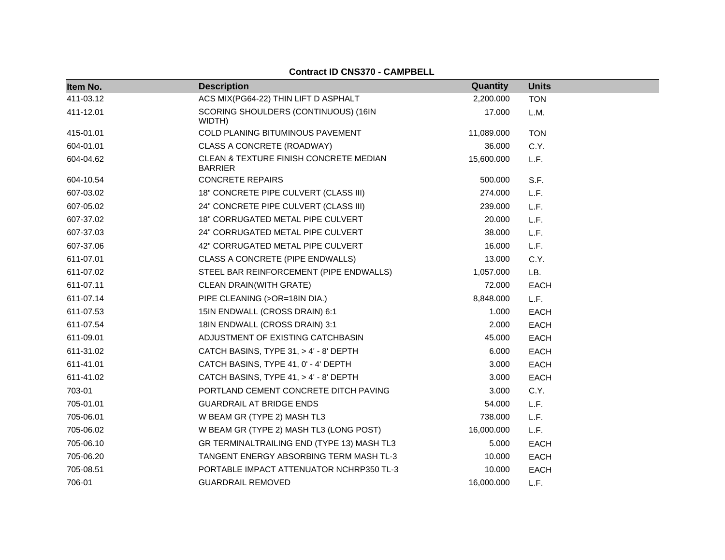| Item No.  | <b>Description</b>                                       | Quantity   | <b>Units</b> |
|-----------|----------------------------------------------------------|------------|--------------|
| 411-03.12 | ACS MIX(PG64-22) THIN LIFT D ASPHALT                     | 2,200.000  | <b>TON</b>   |
| 411-12.01 | SCORING SHOULDERS (CONTINUOUS) (16IN<br>WIDTH)           | 17.000     | L.M.         |
| 415-01.01 | COLD PLANING BITUMINOUS PAVEMENT                         | 11,089.000 | <b>TON</b>   |
| 604-01.01 | CLASS A CONCRETE (ROADWAY)                               | 36.000     | C.Y.         |
| 604-04.62 | CLEAN & TEXTURE FINISH CONCRETE MEDIAN<br><b>BARRIER</b> | 15,600.000 | L.F.         |
| 604-10.54 | <b>CONCRETE REPAIRS</b>                                  | 500.000    | S.F.         |
| 607-03.02 | 18" CONCRETE PIPE CULVERT (CLASS III)                    | 274.000    | L.F.         |
| 607-05.02 | 24" CONCRETE PIPE CULVERT (CLASS III)                    | 239.000    | L.F.         |
| 607-37.02 | 18" CORRUGATED METAL PIPE CULVERT                        | 20.000     | L.F.         |
| 607-37.03 | 24" CORRUGATED METAL PIPE CULVERT                        | 38.000     | L.F.         |
| 607-37.06 | 42" CORRUGATED METAL PIPE CULVERT                        | 16.000     | L.F.         |
| 611-07.01 | CLASS A CONCRETE (PIPE ENDWALLS)                         | 13.000     | C.Y.         |
| 611-07.02 | STEEL BAR REINFORCEMENT (PIPE ENDWALLS)                  | 1,057.000  | LB.          |
| 611-07.11 | CLEAN DRAIN(WITH GRATE)                                  | 72.000     | <b>EACH</b>  |
| 611-07.14 | PIPE CLEANING (>OR=18IN DIA.)                            | 8,848.000  | L.F.         |
| 611-07.53 | 15IN ENDWALL (CROSS DRAIN) 6:1                           | 1.000      | EACH         |
| 611-07.54 | 18IN ENDWALL (CROSS DRAIN) 3:1                           | 2.000      | <b>EACH</b>  |
| 611-09.01 | ADJUSTMENT OF EXISTING CATCHBASIN                        | 45.000     | <b>EACH</b>  |
| 611-31.02 | CATCH BASINS, TYPE 31, > 4' - 8' DEPTH                   | 6.000      | <b>EACH</b>  |
| 611-41.01 | CATCH BASINS, TYPE 41, 0' - 4' DEPTH                     | 3.000      | <b>EACH</b>  |
| 611-41.02 | CATCH BASINS, TYPE 41, > 4' - 8' DEPTH                   | 3.000      | <b>EACH</b>  |
| 703-01    | PORTLAND CEMENT CONCRETE DITCH PAVING                    | 3.000      | C.Y.         |
| 705-01.01 | <b>GUARDRAIL AT BRIDGE ENDS</b>                          | 54.000     | L.F.         |
| 705-06.01 | W BEAM GR (TYPE 2) MASH TL3                              | 738.000    | L.F.         |
| 705-06.02 | W BEAM GR (TYPE 2) MASH TL3 (LONG POST)                  | 16,000.000 | L.F.         |
| 705-06.10 | GR TERMINALTRAILING END (TYPE 13) MASH TL3               | 5.000      | EACH         |
| 705-06.20 | TANGENT ENERGY ABSORBING TERM MASH TL-3                  | 10.000     | <b>EACH</b>  |
| 705-08.51 | PORTABLE IMPACT ATTENUATOR NCHRP350 TL-3                 | 10.000     | <b>EACH</b>  |
| 706-01    | <b>GUARDRAIL REMOVED</b>                                 | 16,000.000 | L.F.         |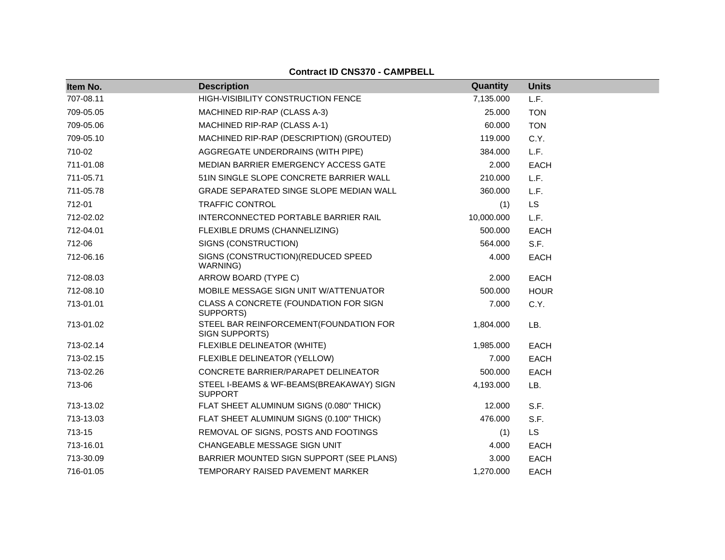| Item No.  | <b>Description</b>                                         | Quantity   | <b>Units</b> |
|-----------|------------------------------------------------------------|------------|--------------|
| 707-08.11 | HIGH-VISIBILITY CONSTRUCTION FENCE                         | 7,135.000  | L.F.         |
| 709-05.05 | MACHINED RIP-RAP (CLASS A-3)                               | 25.000     | <b>TON</b>   |
| 709-05.06 | MACHINED RIP-RAP (CLASS A-1)                               | 60.000     | <b>TON</b>   |
| 709-05.10 | MACHINED RIP-RAP (DESCRIPTION) (GROUTED)                   | 119.000    | C.Y.         |
| 710-02    | AGGREGATE UNDERDRAINS (WITH PIPE)                          | 384.000    | L.F.         |
| 711-01.08 | MEDIAN BARRIER EMERGENCY ACCESS GATE                       | 2.000      | <b>EACH</b>  |
| 711-05.71 | 51IN SINGLE SLOPE CONCRETE BARRIER WALL                    | 210.000    | L.F.         |
| 711-05.78 | GRADE SEPARATED SINGE SLOPE MEDIAN WALL                    | 360.000    | L.F.         |
| 712-01    | <b>TRAFFIC CONTROL</b>                                     | (1)        | LS           |
| 712-02.02 | INTERCONNECTED PORTABLE BARRIER RAIL                       | 10,000.000 | L.F.         |
| 712-04.01 | FLEXIBLE DRUMS (CHANNELIZING)                              | 500.000    | <b>EACH</b>  |
| 712-06    | SIGNS (CONSTRUCTION)                                       | 564.000    | S.F.         |
| 712-06.16 | SIGNS (CONSTRUCTION) (REDUCED SPEED<br>WARNING)            | 4.000      | <b>EACH</b>  |
| 712-08.03 | ARROW BOARD (TYPE C)                                       | 2.000      | <b>EACH</b>  |
| 712-08.10 | MOBILE MESSAGE SIGN UNIT W/ATTENUATOR                      | 500.000    | <b>HOUR</b>  |
| 713-01.01 | CLASS A CONCRETE (FOUNDATION FOR SIGN<br>SUPPORTS)         | 7.000      | C.Y.         |
| 713-01.02 | STEEL BAR REINFORCEMENT(FOUNDATION FOR<br>SIGN SUPPORTS)   | 1,804.000  | LB.          |
| 713-02.14 | FLEXIBLE DELINEATOR (WHITE)                                | 1,985.000  | <b>EACH</b>  |
| 713-02.15 | FLEXIBLE DELINEATOR (YELLOW)                               | 7.000      | <b>EACH</b>  |
| 713-02.26 | CONCRETE BARRIER/PARAPET DELINEATOR                        | 500.000    | <b>EACH</b>  |
| 713-06    | STEEL I-BEAMS & WF-BEAMS(BREAKAWAY) SIGN<br><b>SUPPORT</b> | 4,193.000  | LB.          |
| 713-13.02 | FLAT SHEET ALUMINUM SIGNS (0.080" THICK)                   | 12.000     | S.F.         |
| 713-13.03 | FLAT SHEET ALUMINUM SIGNS (0.100" THICK)                   | 476.000    | S.F.         |
| 713-15    | REMOVAL OF SIGNS, POSTS AND FOOTINGS                       | (1)        | LS           |
| 713-16.01 | CHANGEABLE MESSAGE SIGN UNIT                               | 4.000      | <b>EACH</b>  |
| 713-30.09 | BARRIER MOUNTED SIGN SUPPORT (SEE PLANS)                   | 3.000      | <b>EACH</b>  |
| 716-01.05 | TEMPORARY RAISED PAVEMENT MARKER                           | 1,270.000  | <b>EACH</b>  |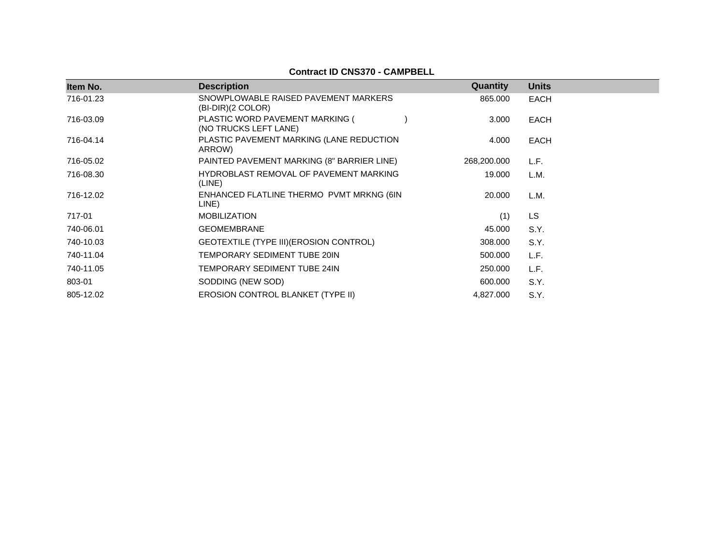| Item No.  | <b>Description</b>                                        | Quantity    | <b>Units</b> |
|-----------|-----------------------------------------------------------|-------------|--------------|
| 716-01.23 | SNOWPLOWABLE RAISED PAVEMENT MARKERS<br>(BI-DIR)(2 COLOR) | 865,000     | EACH         |
| 716-03.09 | PLASTIC WORD PAVEMENT MARKING (<br>(NO TRUCKS LEFT LANE)  | 3.000       | EACH         |
| 716-04.14 | PLASTIC PAVEMENT MARKING (LANE REDUCTION<br>ARROW)        | 4.000       | EACH         |
| 716-05.02 | PAINTED PAVEMENT MARKING (8" BARRIER LINE)                | 268,200.000 | L.F.         |
| 716-08.30 | HYDROBLAST REMOVAL OF PAVEMENT MARKING<br>(LINE)          | 19.000      | L.M.         |
| 716-12.02 | ENHANCED FLATLINE THERMO PVMT MRKNG (6IN<br>LINE)         | 20.000      | L.M.         |
| 717-01    | <b>MOBILIZATION</b>                                       | (1)         | <b>LS</b>    |
| 740-06.01 | <b>GEOMEMBRANE</b>                                        | 45.000      | S.Y.         |
| 740-10.03 | GEOTEXTILE (TYPE III) (EROSION CONTROL)                   | 308.000     | S.Y.         |
| 740-11.04 | TEMPORARY SEDIMENT TUBE 20IN                              | 500.000     | L.F.         |
| 740-11.05 | TEMPORARY SEDIMENT TUBE 24IN                              | 250.000     | L.F.         |
| 803-01    | SODDING (NEW SOD)                                         | 600.000     | S.Y.         |
| 805-12.02 | <b>EROSION CONTROL BLANKET (TYPE II)</b>                  | 4,827.000   | S.Y.         |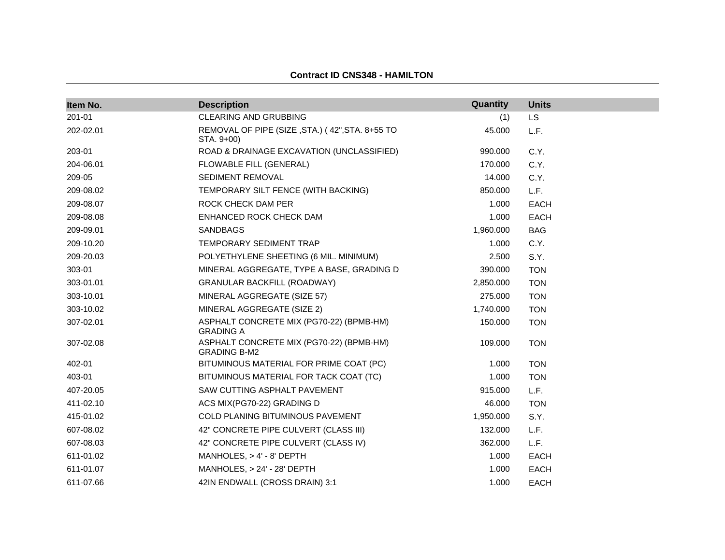| Item No.  | <b>Description</b>                                              | Quantity  | <b>Units</b> |
|-----------|-----------------------------------------------------------------|-----------|--------------|
| 201-01    | <b>CLEARING AND GRUBBING</b>                                    | (1)       | <b>LS</b>    |
| 202-02.01 | REMOVAL OF PIPE (SIZE, STA.) (42", STA. 8+55 TO<br>STA. 9+00)   | 45.000    | L.F.         |
| 203-01    | ROAD & DRAINAGE EXCAVATION (UNCLASSIFIED)                       | 990.000   | C.Y.         |
| 204-06.01 | FLOWABLE FILL (GENERAL)                                         | 170.000   | C.Y.         |
| 209-05    | SEDIMENT REMOVAL                                                | 14.000    | C.Y.         |
| 209-08.02 | TEMPORARY SILT FENCE (WITH BACKING)                             | 850.000   | L.F.         |
| 209-08.07 | ROCK CHECK DAM PER                                              | 1.000     | <b>EACH</b>  |
| 209-08.08 | ENHANCED ROCK CHECK DAM                                         | 1.000     | <b>EACH</b>  |
| 209-09.01 | <b>SANDBAGS</b>                                                 | 1,960.000 | <b>BAG</b>   |
| 209-10.20 | TEMPORARY SEDIMENT TRAP                                         | 1.000     | C.Y.         |
| 209-20.03 | POLYETHYLENE SHEETING (6 MIL. MINIMUM)                          | 2.500     | S.Y.         |
| 303-01    | MINERAL AGGREGATE, TYPE A BASE, GRADING D                       | 390.000   | <b>TON</b>   |
| 303-01.01 | <b>GRANULAR BACKFILL (ROADWAY)</b>                              | 2,850.000 | <b>TON</b>   |
| 303-10.01 | MINERAL AGGREGATE (SIZE 57)                                     | 275.000   | <b>TON</b>   |
| 303-10.02 | MINERAL AGGREGATE (SIZE 2)                                      | 1,740.000 | <b>TON</b>   |
| 307-02.01 | ASPHALT CONCRETE MIX (PG70-22) (BPMB-HM)<br><b>GRADING A</b>    | 150.000   | <b>TON</b>   |
| 307-02.08 | ASPHALT CONCRETE MIX (PG70-22) (BPMB-HM)<br><b>GRADING B-M2</b> | 109.000   | <b>TON</b>   |
| 402-01    | BITUMINOUS MATERIAL FOR PRIME COAT (PC)                         | 1.000     | <b>TON</b>   |
| 403-01    | BITUMINOUS MATERIAL FOR TACK COAT (TC)                          | 1.000     | <b>TON</b>   |
| 407-20.05 | SAW CUTTING ASPHALT PAVEMENT                                    | 915.000   | L.F.         |
| 411-02.10 | ACS MIX(PG70-22) GRADING D                                      | 46.000    | <b>TON</b>   |
| 415-01.02 | COLD PLANING BITUMINOUS PAVEMENT                                | 1,950.000 | S.Y.         |
| 607-08.02 | 42" CONCRETE PIPE CULVERT (CLASS III)                           | 132.000   | L.F.         |
| 607-08.03 | 42" CONCRETE PIPE CULVERT (CLASS IV)                            | 362.000   | L.F.         |
| 611-01.02 | MANHOLES, > 4' - 8' DEPTH                                       | 1.000     | <b>EACH</b>  |
| 611-01.07 | MANHOLES, $> 24' - 28'$ DEPTH                                   | 1.000     | <b>EACH</b>  |
| 611-07.66 | 42IN ENDWALL (CROSS DRAIN) 3:1                                  | 1.000     | <b>EACH</b>  |

# **Contract ID CNS348 - HAMILTON**